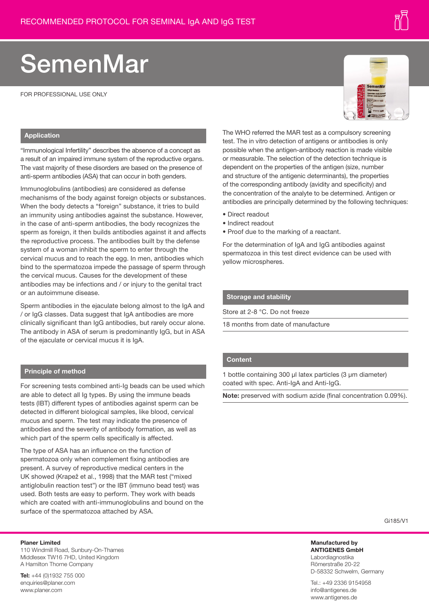# SemenMar

FOR PROFESSIONAL USE ONLY

# **Application**

"Immunological Infertility" describes the absence of a concept as a result of an impaired immune system of the reproductive organs. The vast majority of these disorders are based on the presence of anti-sperm antibodies (ASA) that can occur in both genders.

Immunoglobulins (antibodies) are considered as defense mechanisms of the body against foreign objects or substances. When the body detects a "foreign" substance, it tries to build an immunity using antibodies against the substance. However, in the case of anti-sperm antibodies, the body recognizes the sperm as foreign, it then builds antibodies against it and affects the reproductive process. The antibodies built by the defense system of a woman inhibit the sperm to enter through the cervical mucus and to reach the egg. In men, antibodies which bind to the spermatozoa impede the passage of sperm through the cervical mucus. Causes for the development of these antibodies may be infections and / or injury to the genital tract or an autoimmune disease.

Sperm antibodies in the ejaculate belong almost to the IgA and / or IgG classes. Data suggest that IgA antibodies are more clinically significant than IgG antibodies, but rarely occur alone. The antibody in ASA of serum is predominantly IgG, but in ASA of the ejaculate or cervical mucus it is IgA.

# **Principle of method**

For screening tests combined anti-Ig beads can be used which are able to detect all Ig types. By using the immune beads tests (IBT) different types of antibodies against sperm can be detected in different biological samples, like blood, cervical mucus and sperm. The test may indicate the presence of antibodies and the severity of antibody formation, as well as which part of the sperm cells specifically is affected.

The type of ASA has an influence on the function of spermatozoa only when complement fixing antibodies are present. A survey of reproductive medical centers in the UK showed (Krapež et al., 1998) that the MAR test ("mixed antiglobulin reaction test") or the IBT (immuno bead test) was used. Both tests are easy to perform. They work with beads which are coated with anti-immunoglobulins and bound on the surface of the spermatozoa attached by ASA.

## **Planer Limited**

110 Windmill Road, Sunbury-On-Thames Middlesex TW16 7HD, United Kingdom A Hamilton Thorne Company

**Tel:** +44 (0)1932 755 000 enquiries@planer.com www.planer.com

The WHO referred the MAR test as a compulsory screening test. The in vitro detection of antigens or antibodies is only possible when the antigen-antibody reaction is made visible or measurable. The selection of the detection technique is dependent on the properties of the antigen (size, number and structure of the antigenic determinants), the properties of the corresponding antibody (avidity and specificity) and the concentration of the analyte to be determined. Antigen or antibodies are principally determined by the following techniques:

- Direct readout
- Indirect readout
- Proof due to the marking of a reactant.

For the determination of IgA and IgG antibodies against spermatozoa in this test direct evidence can be used with yellow microspheres.

#### **Storage and stability**

Store at 2-8 °C. Do not freeze

18 months from date of manufacture

# **Content**

1 bottle containing 300 µl latex particles (3 µm diameter) coated with spec. Anti-IgA and Anti-IgG.

**Note:** preserved with sodium azide (final concentration 0.09%).

Gi185/V1

**Manufactured by ANTIGENES GmbH** Labordiagnostika Römerstraße 20-22 D-58332 Schwelm, Germany

Tel.: +49 2336 9154958 info@antigenes.de www.antigenes.de



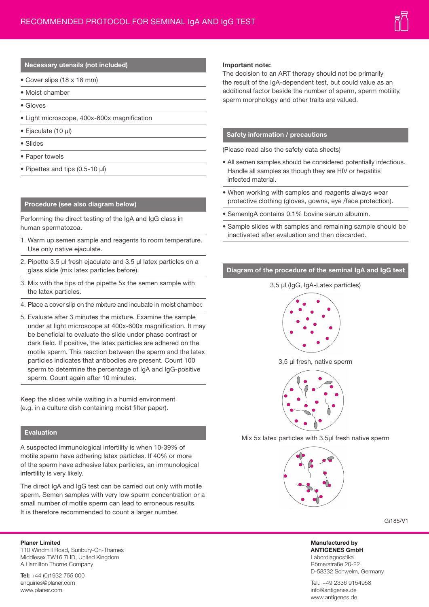# **Necessary utensils (not included)**

- Cover slips (18 x 18 mm)
- Moist chamber
- Gloves
- Light microscope, 400x-600x magnification
- Ejaculate (10 µl)
- Slides
- Paper towels
- Pipettes and tips (0.5-10 µl)

#### **Procedure (see also diagram below)**

Performing the direct testing of the IgA and IgG class in human spermatozoa.

- 1. Warm up semen sample and reagents to room temperature. Use only native ejaculate.
- 2. Pipette 3.5 µl fresh ejaculate and 3.5 µl latex particles on a glass slide (mix latex particles before).
- 3. Mix with the tips of the pipette 5x the semen sample with the latex particles.
- 4. Place a cover slip on the mixture and incubate in moist chamber.
- 5. Evaluate after 3 minutes the mixture. Examine the sample under at light microscope at 400x-600x magnification. It may be beneficial to evaluate the slide under phase contrast or dark field. If positive, the latex particles are adhered on the motile sperm. This reaction between the sperm and the latex particles indicates that antibodies are present. Count 100 sperm to determine the percentage of IgA and IgG-positive sperm. Count again after 10 minutes.

Keep the slides while waiting in a humid environment (e.g. in a culture dish containing moist filter paper).

# **Evaluation**

A suspected immunological infertility is when 10-39% of motile sperm have adhering latex particles. If 40% or more of the sperm have adhesive latex particles, an immunological infertility is very likely.

The direct IgA and IgG test can be carried out only with motile sperm. Semen samples with very low sperm concentration or a small number of motile sperm can lead to erroneous results. It is therefore recommended to count a larger number.

#### **Planer Limited**

110 Windmill Road, Sunbury-On-Thames Middlesex TW16 7HD, United Kingdom A Hamilton Thorne Company

**Tel:** +44 (0)1932 755 000 enquiries@planer.com www.planer.com

#### **Important note:**

The decision to an ART therapy should not be primarily the result of the IgA-dependent test, but could value as an additional factor beside the number of sperm, sperm motility, sperm morphology and other traits are valued.

## **Safety information / precautions**

(Please read also the safety data sheets)

- All semen samples should be considered potentially infectious. Handle all samples as though they are HIV or hepatitis infected material.
- When working with samples and reagents always wear protective clothing (gloves, gowns, eye /face protection).
- SemenIgA contains 0.1% bovine serum albumin.
- Sample slides with samples and remaining sample should be inactivated after evaluation and then discarded.

# **Diagram of the procedure of the seminal IgA and IgG test**

# 3,5 µl (IgG, IgA-Latex particles)



3,5 µl fresh, native sperm



Mix 5x latex particles with 3,5µl fresh native sperm



Gi185/V1

**Manufactured by ANTIGENES GmbH** Labordiagnostika Römerstraße 20-22 D-58332 Schwelm, Germany

Tel.: +49 2336 9154958 info@antigenes.de www.antigenes.de